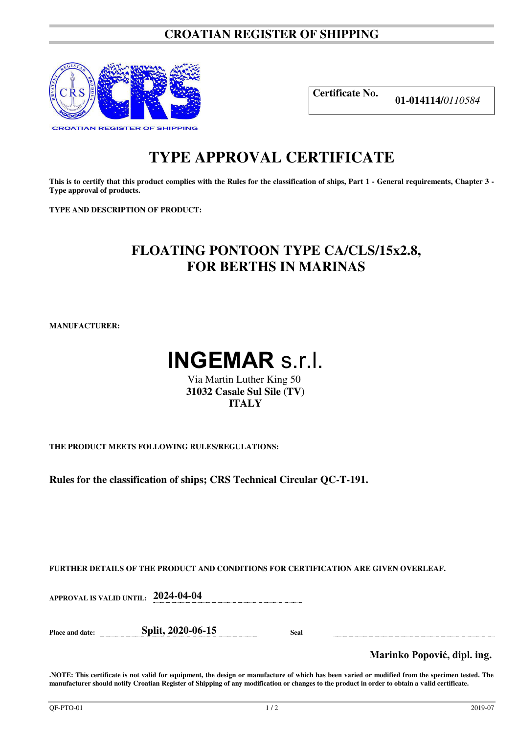#### **CROATIAN REGISTER OF SHIPPING**



**Certificate No.** 

**01-014114/***0110584*

## **TYPE APPROVAL CERTIFICATE**

**This is to certify that this product complies with the Rules for the classification of ships, Part 1 - General requirements, Chapter 3 - Type approval of products.** 

**TYPE AND DESCRIPTION OF PRODUCT:** 

### **FLOATING PONTOON TYPE CA/CLS/15x2.8, FOR BERTHS IN MARINAS**

**MANUFACTURER:** 

# **INGEMAR** s.r.l.

Via Martin Luther King 50 **31032 Casale Sul Sile (TV) ITALY**

**THE PRODUCT MEETS FOLLOWING RULES/REGULATIONS:**

**Rules for the classification of ships; CRS Technical Circular QC-T-191.** 

**FURTHER DETAILS OF THE PRODUCT AND CONDITIONS FOR CERTIFICATION ARE GIVEN OVERLEAF.**

**APPROVAL IS VALID UNTIL: 2024-04-04** 

**Place and date: Split, 2020-06-15 Seal** 

**Marinko Popović, dipl. ing.**

**.NOTE: This certificate is not valid for equipment, the design or manufacture of which has been varied or modified from the specimen tested. The manufacturer should notify Croatian Register of Shipping of any modification or changes to the product in order to obtain a valid certificate.**